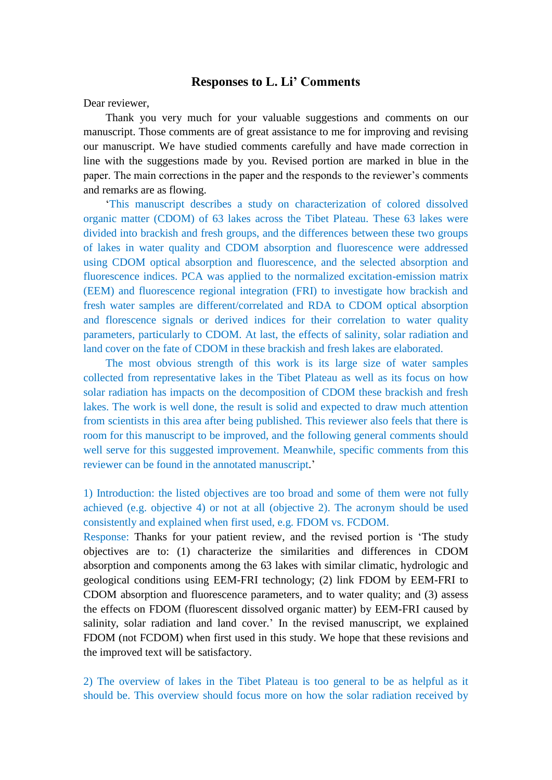## **Responses to L. Li' Comments**

Dear reviewer,

Thank you very much for your valuable suggestions and comments on our manuscript. Those comments are of great assistance to me for improving and revising our manuscript. We have studied comments carefully and have made correction in line with the suggestions made by you. Revised portion are marked in blue in the paper. The main corrections in the paper and the responds to the reviewer's comments and remarks are as flowing.

'This manuscript describes a study on characterization of colored dissolved organic matter (CDOM) of 63 lakes across the Tibet Plateau. These 63 lakes were divided into brackish and fresh groups, and the differences between these two groups of lakes in water quality and CDOM absorption and fluorescence were addressed using CDOM optical absorption and fluorescence, and the selected absorption and fluorescence indices. PCA was applied to the normalized excitation-emission matrix (EEM) and fluorescence regional integration (FRI) to investigate how brackish and fresh water samples are different/correlated and RDA to CDOM optical absorption and florescence signals or derived indices for their correlation to water quality parameters, particularly to CDOM. At last, the effects of salinity, solar radiation and land cover on the fate of CDOM in these brackish and fresh lakes are elaborated.

The most obvious strength of this work is its large size of water samples collected from representative lakes in the Tibet Plateau as well as its focus on how solar radiation has impacts on the decomposition of CDOM these brackish and fresh lakes. The work is well done, the result is solid and expected to draw much attention from scientists in this area after being published. This reviewer also feels that there is room for this manuscript to be improved, and the following general comments should well serve for this suggested improvement. Meanwhile, specific comments from this reviewer can be found in the annotated manuscript.'

1) Introduction: the listed objectives are too broad and some of them were not fully achieved (e.g. objective 4) or not at all (objective 2). The acronym should be used consistently and explained when first used, e.g. FDOM vs. FCDOM.

Response: Thanks for your patient review, and the revised portion is 'The study objectives are to: (1) characterize the similarities and differences in CDOM absorption and components among the 63 lakes with similar climatic, hydrologic and geological conditions using EEM-FRI technology; (2) link FDOM by EEM-FRI to CDOM absorption and fluorescence parameters, and to water quality; and (3) assess the effects on FDOM (fluorescent dissolved organic matter) by EEM-FRI caused by salinity, solar radiation and land cover.' In the revised manuscript, we explained FDOM (not FCDOM) when first used in this study. We hope that these revisions and the improved text will be satisfactory.

2) The overview of lakes in the Tibet Plateau is too general to be as helpful as it should be. This overview should focus more on how the solar radiation received by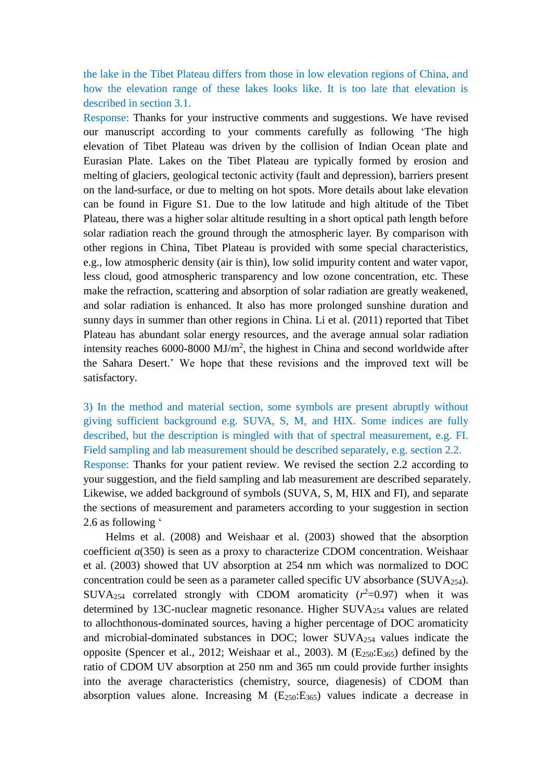the lake in the Tibet Plateau differs from those in low elevation regions of China, and how the elevation range of these lakes looks like. It is too late that elevation is described in section 3.1.

Response: Thanks for your instructive comments and suggestions. We have revised our manuscript according to your comments carefully as following 'The high elevation of Tibet Plateau was driven by the collision of Indian Ocean plate and Eurasian Plate. Lakes on the Tibet Plateau are typically formed by erosion and melting of glaciers, geological tectonic activity (fault and depression), barriers present on the land-surface, or due to melting on hot spots. More details about lake elevation can be found in Figure S1. Due to the low latitude and high altitude of the Tibet Plateau, there was a higher solar altitude resulting in a short optical path length before solar radiation reach the ground through the atmospheric layer. By comparison with other regions in China, Tibet Plateau is provided with some special characteristics, e.g., low atmospheric density (air is thin), low solid impurity content and water vapor, less cloud, good atmospheric transparency and low ozone concentration, etc. These make the refraction, scattering and absorption of solar radiation are greatly weakened, and solar radiation is enhanced. It also has more prolonged sunshine duration and sunny days in summer than other regions in China. Li et al. (2011) reported that Tibet Plateau has abundant solar energy resources, and the average annual solar radiation intensity reaches  $6000 - 8000$  MJ/m<sup>2</sup>, the highest in China and second worldwide after the Sahara Desert.' We hope that these revisions and the improved text will be satisfactory.

3) In the method and material section, some symbols are present abruptly without giving sufficient background e.g. SUVA, S, M, and HIX. Some indices are fully described, but the description is mingled with that of spectral measurement, e.g. FI. Field sampling and lab measurement should be described separately, e.g. section 2.2. Response: Thanks for your patient review. We revised the section 2.2 according to your suggestion, and the field sampling and lab measurement are described separately. Likewise, we added background of symbols (SUVA, S, M, HIX and FI), and separate the sections of measurement and parameters according to your suggestion in section 2.6 as following '

Helms et al. (2008) and Weishaar et al. (2003) showed that the absorption coefficient *a*(350) is seen as a proxy to characterize CDOM concentration. Weishaar et al. (2003) showed that UV absorption at 254 nm which was normalized to DOC concentration could be seen as a parameter called specific UV absorbance (SUVA254). SUVA<sub>254</sub> correlated strongly with CDOM aromaticity  $(r^2=0.97)$  when it was determined by 13C-nuclear magnetic resonance. Higher SUVA<sup>254</sup> values are related to allochthonous-dominated sources, having a higher percentage of DOC aromaticity and microbial-dominated substances in DOC; lower SUVA<sup>254</sup> values indicate the opposite (Spencer et al., 2012; Weishaar et al., 2003). M  $(E_{250} : E_{365})$  defined by the ratio of CDOM UV absorption at 250 nm and 365 nm could provide further insights into the average characteristics (chemistry, source, diagenesis) of CDOM than absorption values alone. Increasing M (E250:E365) values indicate a decrease in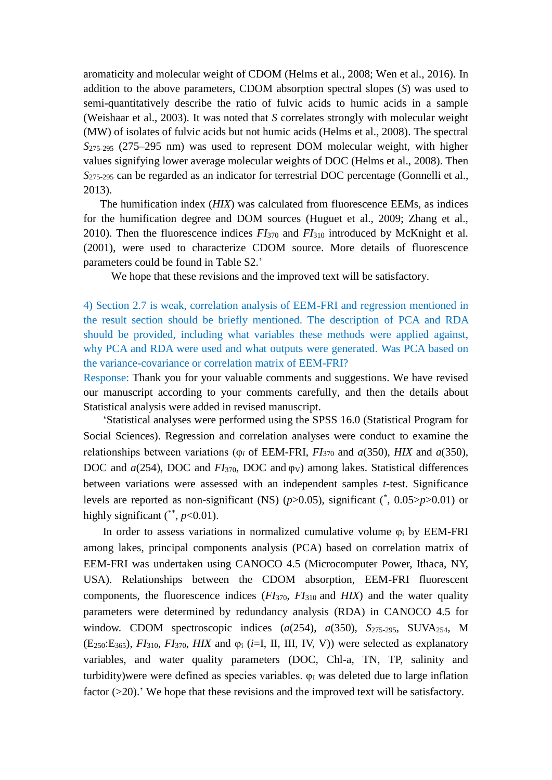aromaticity and molecular weight of CDOM (Helms et al., 2008; Wen et al., 2016). In addition to the above parameters, CDOM absorption spectral slopes (*S*) was used to semi-quantitatively describe the ratio of fulvic acids to humic acids in a sample (Weishaar et al., 2003). It was noted that *S* correlates strongly with molecular weight (MW) of isolates of fulvic acids but not humic acids (Helms et al., 2008). The spectral *S*275-295 (275–295 nm) was used to represent DOM molecular weight, with higher values signifying lower average molecular weights of DOC (Helms et al., 2008). Then *S*275-295 can be regarded as an indicator for terrestrial DOC percentage (Gonnelli et al., 2013).

The humification index (*HIX*) was calculated from fluorescence EEMs, as indices for the humification degree and DOM sources (Huguet et al., 2009; Zhang et al., 2010). Then the fluorescence indices *FI*<sup>370</sup> and *FI*<sup>310</sup> introduced by McKnight et al. (2001), were used to characterize CDOM source. More details of fluorescence parameters could be found in Table S2.'

We hope that these revisions and the improved text will be satisfactory.

4) Section 2.7 is weak, correlation analysis of EEM-FRI and regression mentioned in the result section should be briefly mentioned. The description of PCA and RDA should be provided, including what variables these methods were applied against, why PCA and RDA were used and what outputs were generated. Was PCA based on the variance-covariance or correlation matrix of EEM-FRI?

Response: Thank you for your valuable comments and suggestions. We have revised our manuscript according to your comments carefully, and then the details about Statistical analysis were added in revised manuscript.

'Statistical analyses were performed using the SPSS 16.0 (Statistical Program for Social Sciences). Regression and correlation analyses were conduct to examine the relationships between variations (φ*<sup>i</sup>* of EEM-FRI, *FI*<sup>370</sup> and *a*(350), *HIX* and *a*(350), DOC and *a*(254), DOC and *FI*<sub>370</sub>, DOC and φ<sub>V</sub>) among lakes. Statistical differences between variations were assessed with an independent samples *t*-test. Significance levels are reported as non-significant (NS)  $(p>0.05)$ , significant  $(*, 0.05>p>0.01)$  or highly significant  $(*, p<0.01)$ .

In order to assess variations in normalized cumulative volume  $\varphi_i$  by EEM-FRI among lakes, principal components analysis (PCA) based on correlation matrix of EEM-FRI was undertaken using CANOCO 4.5 (Microcomputer Power, Ithaca, NY, USA). Relationships between the CDOM absorption, EEM-FRI fluorescent components, the fluorescence indices (*FI*370, *FI*310 and *HIX*) and the water quality parameters were determined by redundancy analysis (RDA) in CANOCO 4.5 for window. CDOM spectroscopic indices (*a*(254), *a*(350), *S*<sub>275-295</sub>, SUVA<sub>254</sub>, M  $(E_{250}$ : $E_{365}$ ,  $FI_{310}$ ,  $FI_{370}$ ,  $HIX$  and  $\varphi_i$  (*i*=I, II, III, IV, V)) were selected as explanatory variables, and water quality parameters (DOC, Chl-a, TN, TP, salinity and turbidity) were were defined as species variables.  $\varphi_I$  was deleted due to large inflation factor (>20).' We hope that these revisions and the improved text will be satisfactory.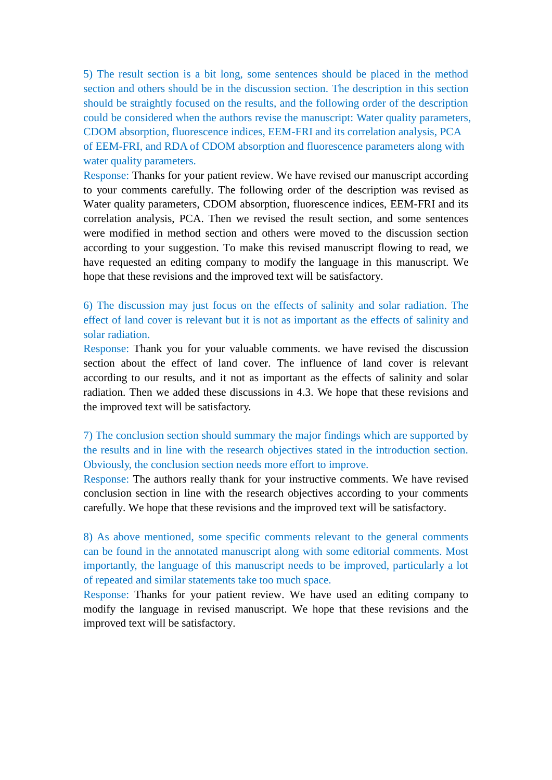5) The result section is a bit long, some sentences should be placed in the method section and others should be in the discussion section. The description in this section should be straightly focused on the results, and the following order of the description could be considered when the authors revise the manuscript: Water quality parameters, CDOM absorption, fluorescence indices, EEM-FRI and its correlation analysis, PCA of EEM-FRI, and RDA of CDOM absorption and fluorescence parameters along with water quality parameters.

Response: Thanks for your patient review. We have revised our manuscript according to your comments carefully. The following order of the description was revised as Water quality parameters, CDOM absorption, fluorescence indices, EEM-FRI and its correlation analysis, PCA. Then we revised the result section, and some sentences were modified in method section and others were moved to the discussion section according to your suggestion. To make this revised manuscript flowing to read, we have requested an editing company to modify the language in this manuscript. We hope that these revisions and the improved text will be satisfactory.

6) The discussion may just focus on the effects of salinity and solar radiation. The effect of land cover is relevant but it is not as important as the effects of salinity and solar radiation.

Response: Thank you for your valuable comments. we have revised the discussion section about the effect of land cover. The influence of land cover is relevant according to our results, and it not as important as the effects of salinity and solar radiation. Then we added these discussions in 4.3. We hope that these revisions and the improved text will be satisfactory.

7) The conclusion section should summary the major findings which are supported by the results and in line with the research objectives stated in the introduction section. Obviously, the conclusion section needs more effort to improve.

Response: The authors really thank for your instructive comments. We have revised conclusion section in line with the research objectives according to your comments carefully. We hope that these revisions and the improved text will be satisfactory.

8) As above mentioned, some specific comments relevant to the general comments can be found in the annotated manuscript along with some editorial comments. Most importantly, the language of this manuscript needs to be improved, particularly a lot of repeated and similar statements take too much space.

Response: Thanks for your patient review. We have used an editing company to modify the language in revised manuscript. We hope that these revisions and the improved text will be satisfactory.